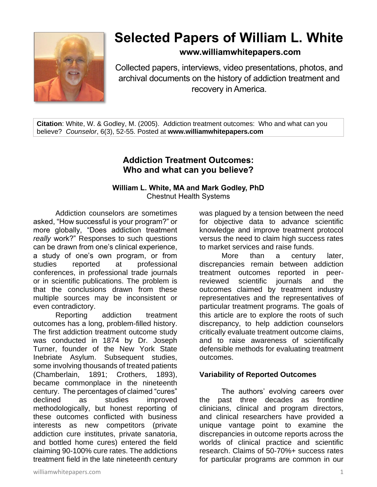

# **Selected Papers of William L. White**

**www.williamwhitepapers.com**

Collected papers, interviews, video presentations, photos, and archival documents on the history of addiction treatment and recovery in America.

**Citation**: White, W. & Godley, M. (2005). Addiction treatment outcomes: Who and what can you believe? *Counselor*, 6(3), 52-55. Posted at **www.williamwhitepapers.com**

# **Addiction Treatment Outcomes: Who and what can you believe?**

#### **William L. White, MA and Mark Godley, PhD** Chestnut Health Systems

Addiction counselors are sometimes asked, "How successful is your program?" or more globally, "Does addiction treatment *really* work?" Responses to such questions can be drawn from one's clinical experience, a study of one's own program, or from studies reported at professional conferences, in professional trade journals or in scientific publications. The problem is that the conclusions drawn from these multiple sources may be inconsistent or even contradictory.

Reporting addiction treatment outcomes has a long, problem-filled history. The first addiction treatment outcome study was conducted in 1874 by Dr. Joseph Turner, founder of the New York State Inebriate Asylum. Subsequent studies, some involving thousands of treated patients (Chamberlain, 1891; Crothers, 1893), became commonplace in the nineteenth century. The percentages of claimed "cures" declined as studies improved methodologically, but honest reporting of these outcomes conflicted with business interests as new competitors (private addiction cure institutes, private sanatoria, and bottled home cures) entered the field claiming 90-100% cure rates. The addictions treatment field in the late nineteenth century was plagued by a tension between the need for objective data to advance scientific knowledge and improve treatment protocol versus the need to claim high success rates to market services and raise funds.

More than a century later, discrepancies remain between addiction treatment outcomes reported in peerreviewed scientific journals and the outcomes claimed by treatment industry representatives and the representatives of particular treatment programs. The goals of this article are to explore the roots of such discrepancy, to help addiction counselors critically evaluate treatment outcome claims, and to raise awareness of scientifically defensible methods for evaluating treatment outcomes.

## **Variability of Reported Outcomes**

The authors' evolving careers over the past three decades as frontline clinicians, clinical and program directors, and clinical researchers have provided a unique vantage point to examine the discrepancies in outcome reports across the worlds of clinical practice and scientific research. Claims of 50-70%+ success rates for particular programs are common in our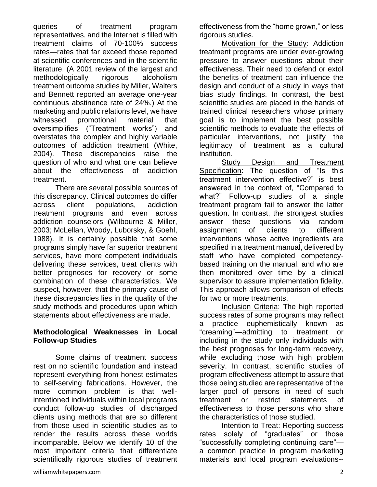queries of treatment program representatives, and the Internet is filled with treatment claims of 70-100% success rates—rates that far exceed those reported at scientific conferences and in the scientific literature. (A 2001 review of the largest and methodologically rigorous alcoholism treatment outcome studies by Miller, Walters and Bennett reported an average one-year continuous abstinence rate of 24%.) At the marketing and public relations level, we have witnessed promotional material that oversimplifies ("Treatment works") and overstates the complex and highly variable outcomes of addiction treatment (White, 2004). These discrepancies raise the question of who and what one can believe about the effectiveness of addiction treatment.

There are several possible sources of this discrepancy. Clinical outcomes do differ across client populations, addiction treatment programs and even across addiction counselors (Wilbourne & Miller, 2003; McLellan, Woody, Luborsky, & Goehl, 1988). It is certainly possible that some programs simply have far superior treatment services, have more competent individuals delivering these services, treat clients with better prognoses for recovery or some combination of these characteristics. We suspect, however, that the primary cause of these discrepancies lies in the quality of the study methods and procedures upon which statements about effectiveness are made.

#### **Methodological Weaknesses in Local Follow-up Studies**

Some claims of treatment success rest on no scientific foundation and instead represent everything from honest estimates to self-serving fabrications. However, the more common problem is that wellintentioned individuals within local programs conduct follow-up studies of discharged clients using methods that are so different from those used in scientific studies as to render the results across these worlds incomparable. Below we identify 10 of the most important criteria that differentiate scientifically rigorous studies of treatment effectiveness from the "home grown," or less rigorous studies.

Motivation for the Study: Addiction treatment programs are under ever-growing pressure to answer questions about their effectiveness. Their need to defend or extol the benefits of treatment can influence the design and conduct of a study in ways that bias study findings. In contrast, the best scientific studies are placed in the hands of trained clinical researchers whose primary goal is to implement the best possible scientific methods to evaluate the effects of particular interventions, not justify the legitimacy of treatment as a cultural institution.

Study Design and Treatment Specification: The question of "Is this treatment intervention effective?" is best answered in the context of, "Compared to what?" Follow-up studies of a single treatment program fail to answer the latter question. In contrast, the strongest studies answer these questions via random assignment of clients to different interventions whose active ingredients are specified in a treatment manual, delivered by staff who have completed competencybased training on the manual, and who are then monitored over time by a clinical supervisor to assure implementation fidelity. This approach allows comparison of effects for two or more treatments.

Inclusion Criteria: The high reported success rates of some programs may reflect a practice euphemistically known as "creaming"—admitting to treatment or including in the study only individuals with the best prognoses for long-term recovery, while excluding those with high problem severity. In contrast, scientific studies of program effectiveness attempt to assure that those being studied are representative of the larger pool of persons in need of such treatment or restrict statements of effectiveness to those persons who share the characteristics of those studied.

Intention to Treat: Reporting success rates solely of "graduates" or those "successfully completing continuing care" a common practice in program marketing materials and local program evaluations--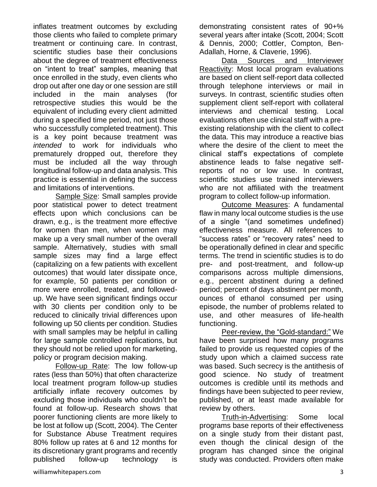inflates treatment outcomes by excluding those clients who failed to complete primary treatment or continuing care. In contrast, scientific studies base their conclusions about the degree of treatment effectiveness on "intent to treat" samples, meaning that once enrolled in the study, even clients who drop out after one day or one session are still included in the main analyses (for retrospective studies this would be the equivalent of including every client admitted during a specified time period, not just those who successfully completed treatment). This is a key point because treatment was *intended* to work for individuals who prematurely dropped out, therefore they must be included all the way through longitudinal follow-up and data analysis. This practice is essential in defining the success and limitations of interventions.

Sample Size: Small samples provide poor statistical power to detect treatment effects upon which conclusions can be drawn, e.g., is the treatment more effective for women than men, when women may make up a very small number of the overall sample. Alternatively, studies with small sample sizes may find a large effect (capitalizing on a few patients with excellent outcomes) that would later dissipate once, for example, 50 patients per condition or more were enrolled, treated, and followedup. We have seen significant findings occur with 30 clients per condition only to be reduced to clinically trivial differences upon following up 50 clients per condition. Studies with small samples may be helpful in calling for large sample controlled replications, but they should not be relied upon for marketing, policy or program decision making.

Follow-up Rate: The low follow-up rates (less than 50%) that often characterize local treatment program follow-up studies artificially inflate recovery outcomes by excluding those individuals who couldn't be found at follow-up. Research shows that poorer functioning clients are more likely to be lost at follow up (Scott, 2004). The Center for Substance Abuse Treatment requires 80% follow up rates at 6 and 12 months for its discretionary grant programs and recently published follow-up technology is

demonstrating consistent rates of 90+% several years after intake (Scott, 2004; Scott & Dennis, 2000; Cottler, Compton, Ben-Adallah, Horne, & Claverie, 1996).

Data Sources and Interviewer Reactivity: Most local program evaluations are based on client self-report data collected through telephone interviews or mail in surveys. In contrast, scientific studies often supplement client self-report with collateral interviews and chemical testing. Local evaluations often use clinical staff with a preexisting relationship with the client to collect the data. This may introduce a reactive bias where the desire of the client to meet the clinical staff's expectations of complete abstinence leads to false negative selfreports of no or low use. In contrast, scientific studies use trained interviewers who are not affiliated with the treatment program to collect follow-up information.

Outcome Measures: A fundamental flaw in many local outcome studies is the use of a single "(and sometimes undefined) effectiveness measure. All references to "success rates" or "recovery rates" need to be operationally defined in clear and specific terms. The trend in scientific studies is to do pre- and post-treatment, and follow-up comparisons across multiple dimensions, e.g., percent abstinent during a defined period; percent of days abstinent per month, ounces of ethanol consumed per using episode, the number of problems related to use, and other measures of life-health functioning.

Peer-review, the "Gold-standard:" We have been surprised how many programs failed to provide us requested copies of the study upon which a claimed success rate was based. Such secrecy is the antithesis of good science. No study of treatment outcomes is credible until its methods and findings have been subjected to peer review, published, or at least made available for review by others.

Truth-in-Advertising: Some local programs base reports of their effectiveness on a single study from their distant past, even though the clinical design of the program has changed since the original study was conducted. Providers often make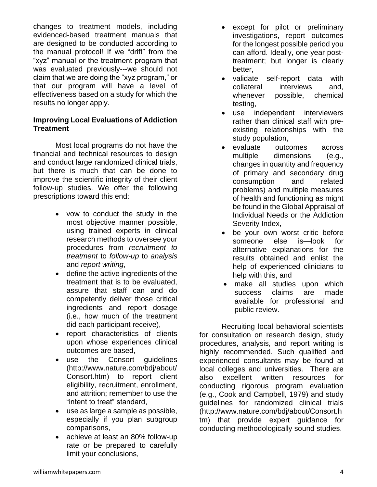changes to treatment models, including evidenced-based treatment manuals that are designed to be conducted according to the manual protocol! If we "drift" from the "xyz" manual or the treatment program that was evaluated previously---we should not claim that we are doing the "xyz program," or that our program will have a level of effectiveness based on a study for which the results no longer apply.

### **Improving Local Evaluations of Addiction Treatment**

Most local programs do not have the financial and technical resources to design and conduct large randomized clinical trials, but there is much that can be done to improve the scientific integrity of their client follow-up studies. We offer the following prescriptions toward this end:

- vow to conduct the study in the most objective manner possible, using trained experts in clinical research methods to oversee your procedures from *recruitment to treatment* to *follow-up* to *analysis* and *report writing*,
- define the active ingredients of the treatment that is to be evaluated, assure that staff can and do competently deliver those critical ingredients and report dosage (i.e., how much of the treatment did each participant receive),
- report characteristics of clients upon whose experiences clinical outcomes are based,
- use the Consort guidelines (http://www.nature.com/bdj/about/ Consort.htm) to report client eligibility, recruitment, enrollment, and attrition; remember to use the "intent to treat" standard,
- use as large a sample as possible, especially if you plan subgroup comparisons,
- achieve at least an 80% follow-up rate or be prepared to carefully limit your conclusions,
- except for pilot or preliminary investigations, report outcomes for the longest possible period you can afford. Ideally, one year posttreatment; but longer is clearly better,
- validate self-report data with collateral interviews and, whenever possible, chemical testing,
- use independent interviewers rather than clinical staff with preexisting relationships with the study population,
- evaluate outcomes across multiple dimensions (e.g., changes in quantity and frequency of primary and secondary drug consumption and related problems) and multiple measures of health and functioning as might be found in the Global Appraisal of Individual Needs or the Addiction Severity Index,
- be your own worst critic before someone else is—look for alternative explanations for the results obtained and enlist the help of experienced clinicians to help with this, and
- make all studies upon which success claims are made available for professional and public review.

Recruiting local behavioral scientists for consultation on research design, study procedures, analysis, and report writing is highly recommended. Such qualified and experienced consultants may be found at local colleges and universities. There are also excellent written resources for conducting rigorous program evaluation (e.g., Cook and Campbell, 1979) and study guidelines for randomized clinical trials (http://www.nature.com/bdj/about/Consort.h tm) that provide expert guidance for conducting methodologically sound studies.